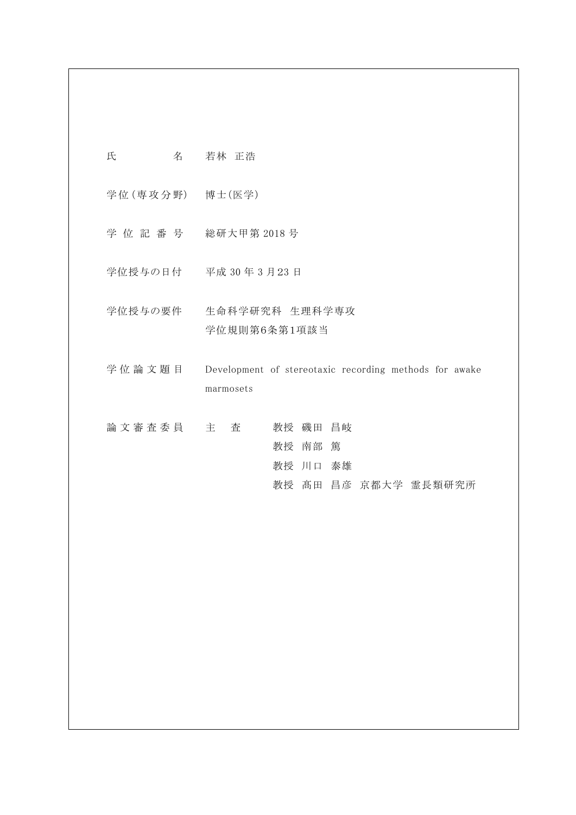# 氏 名 若林 正浩

学位 (専攻分野) 博士(医学)

- 学 位 記 番 号 総研大甲第 2018 号
- 学位授与の日付 平成 30 年 3 月23 日
- 学位授与の要件 生命科学研究科 生理科学専攻 学位規則第6条第1項該当
- 学位論文題目 Development of stereotaxic recording methods for awake marmosets
- 論 文 審 査 委 員 主 査 者 教授 磯田 昌岐 教授 南部 篤 教授 川口 泰雄 教授 髙田 昌彦 京都大学 霊長類研究所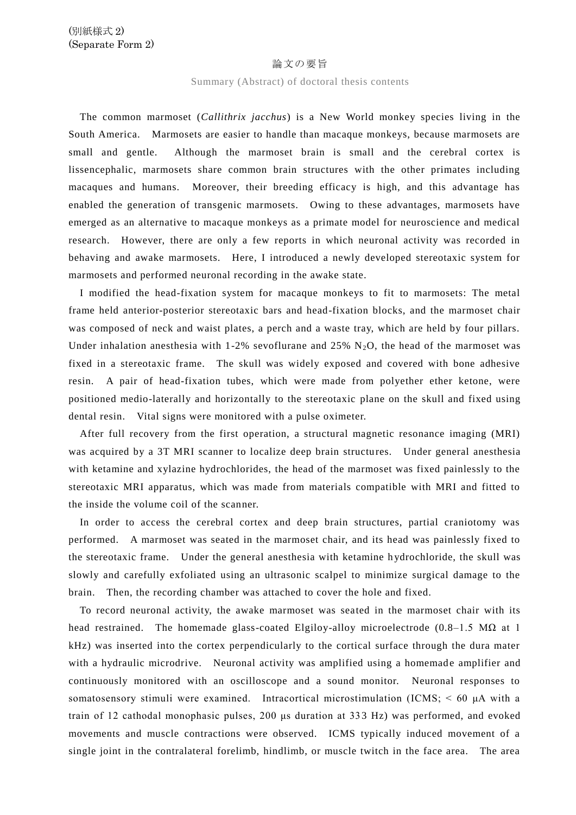## 論文の要旨

### Summary (Abstract) of doctoral thesis contents

The common marmoset (*Callithrix jacchus*) is a New World monkey species living in the South America. Marmosets are easier to handle than macaque monkeys, because marmosets are small and gentle. Although the marmoset brain is small and the cerebral cortex is lissencephalic, marmosets share common brain structures with the other primates including macaques and humans. Moreover, their breeding efficacy is high, and this advantage has enabled the generation of transgenic marmosets. Owing to these advantages, marmosets have emerged as an alternative to macaque monkeys as a primate model for neuroscience and medical research. However, there are only a few reports in which neuronal activity was recorded in behaving and awake marmosets. Here, I introduced a newly developed stereotaxic system for marmosets and performed neuronal recording in the awake state.

I modified the head-fixation system for macaque monkeys to fit to marmosets: The metal frame held anterior-posterior stereotaxic bars and head-fixation blocks, and the marmoset chair was composed of neck and waist plates, a perch and a waste tray, which are held by four pillars. Under inhalation anesthesia with 1-2% sevoflurane and 25%  $N_2O$ , the head of the marmoset was fixed in a stereotaxic frame. The skull was widely exposed and covered with bone adhesive resin. A pair of head-fixation tubes, which were made from polyether ether ketone, were positioned medio-laterally and horizontally to the stereotaxic plane on the skull and fixed using dental resin. Vital signs were monitored with a pulse oximeter.

After full recovery from the first operation, a structural magnetic resonance imaging (MRI) was acquired by a 3T MRI scanner to localize deep brain structures. Under general anesthesia with ketamine and xylazine hydrochlorides, the head of the marmoset was fixed painlessly to the stereotaxic MRI apparatus, which was made from materials compatible with MRI and fitted to the inside the volume coil of the scanner.

In order to access the cerebral cortex and deep brain structures, partial craniotomy was performed. A marmoset was seated in the marmoset chair, and its head was painlessly fixed to the stereotaxic frame. Under the general anesthesia with ketamine h ydrochloride, the skull was slowly and carefully exfoliated using an ultrasonic scalpel to minimize surgical damage to the brain. Then, the recording chamber was attached to cover the hole and fixed.

To record neuronal activity, the awake marmoset was seated in the marmoset chair with its head restrained. The homemade glass-coated Elgiloy-alloy microelectrode ( $0.8-1.5$  M $\Omega$  at 1 kHz) was inserted into the cortex perpendicularly to the cortical surface through the dura mater with a hydraulic microdrive. Neuronal activity was amplified using a homemade amplifier and continuously monitored with an oscilloscope and a sound monitor. Neuronal responses to somatosensory stimuli were examined. Intracortical microstimulation (ICMS; < 60 μA with a train of 12 cathodal monophasic pulses, 200 μs duration at 333 Hz) was performed, and evoked movements and muscle contractions were observed. ICMS typically induced movement of a single joint in the contralateral forelimb, hindlimb, or muscle twitch in the face area. The area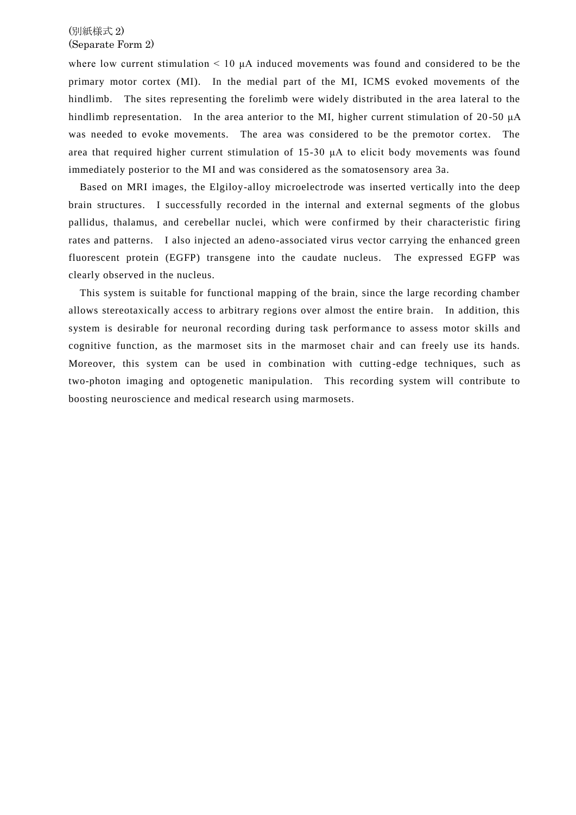# (別紙様式 2) (Separate Form 2)

where low current stimulation  $\leq 10$   $\mu$ A induced movements was found and considered to be the primary motor cortex (MI). In the medial part of the MI, ICMS evoked movements of the hindlimb. The sites representing the forelimb were widely distributed in the area lateral to the hindlimb representation. In the area anterior to the MI, higher current stimulation of 20 -50 μA was needed to evoke movements. The area was considered to be the premotor cortex. The area that required higher current stimulation of 15-30 μA to elicit body movements was found immediately posterior to the MI and was considered as the somatosensory area 3a.

Based on MRI images, the Elgiloy-alloy microelectrode was inserted vertically into the deep brain structures. I successfully recorded in the internal and external segments of the globus pallidus, thalamus, and cerebellar nuclei, which were confirmed by their characteristic firing rates and patterns. I also injected an adeno-associated virus vector carrying the enhanced green fluorescent protein (EGFP) transgene into the caudate nucleus. The expressed EGFP was clearly observed in the nucleus.

This system is suitable for functional mapping of the brain, since the large recording chamber allows stereotaxically access to arbitrary regions over almost the entire brain. In addition, this system is desirable for neuronal recording during task performance to assess motor skills and cognitive function, as the marmoset sits in the marmoset chair and can freely use its hands. Moreover, this system can be used in combination with cutting -edge techniques, such as two-photon imaging and optogenetic manipulation. This recording system will contribute to boosting neuroscience and medical research using marmosets.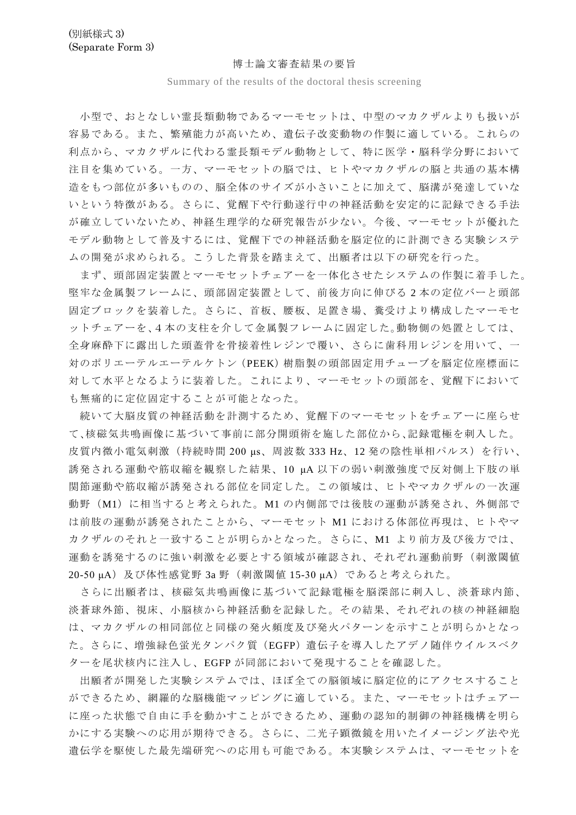## 博士論文審査結果の要旨

Summary of the results of the doctoral thesis screening

小型で、おとなしい霊長類動物であるマーモセットは、中型のマカクザルよりも扱いが 容易である。また、繁殖能力が高いため、遺伝子改変動物の作製に適している。これらの 利点から、マカクザルに代わる霊長類モデル動物として、特に医学・脳科学分野において 注目を集めている。一方、マーモセットの脳では、ヒトやマカクザルの脳と共通の基本構 造をもつ部位が多いものの、脳全体のサイズが小さいことに加えて、脳溝が発達していな いという特徴がある。さらに、覚醒下や行動遂行中の神経活動を安定的に記録できる手法 が確立していないため、神経生理学的な研究報告が少ない。今後、マーモセットが優れた モデル動物として普及するには、覚醒下での神経活動を脳定位的に計測できる実験システ ムの開発が求められる。こうした背景を踏まえて、出願者は以下の研究を行った。

まず、頭部固定装置とマーモセットチェアーを一体化させたシステムの作製に着手した。 堅牢な金属製フレームに、頭部固定装置として、前後方向に伸びる 2 本の定位バーと頭部 固定ブロックを装着した。さらに、首板、腰板、足置き場、糞受けより構成したマーモセ ットチェアーを、4本の支柱を介して金属製フレームに固定した。動物側の処置としては、 全身麻酔下に露出した頭蓋骨を骨接着性レジンで覆い、さらに歯科用レジンを用いて、一 対のポリエーテルエーテルケトン(PEEK)樹脂製の頭部固定用チューブを脳定位座標面に 対して水平となるように装着した。これにより、マーモセットの頭部を、覚醒下において も無痛的に定位固定することが可能となった。

続いて大脳皮質の神経活動を計測するため、覚醒下のマーモセットをチェアーに座らせ て、核磁気共鳴画像に基づいて事前に部分開頭術を施した部位から、記録電極を刺入した。 皮質内微小電気刺激(持続時間 200 μs、周波数 333 Hz、12 発の陰性単相パルス)を行い、 誘発される運動や筋収縮を観察した結果、10 μA 以下の弱い刺激強度で反対側上下肢の単 関節運動や筋収縮が誘発される部位を同定した。この領域は、ヒトやマカクザルの一次運 動野(M1)に相当すると考えられた。M1の内側部では後肢の運動が誘発され、外側部で は前肢の運動が誘発されたことから、マーモセット M1 における体部位再現は、ヒトやマ カクザルのそれと一致することが明らかとなった。さらに、M1 より前方及び後方では、 運動を誘発するのに強い刺激を必要とする領域が確認され、それぞれ運動前野(刺激閾値 20-50 μA)及び体性感覚野 3a 野 (刺激閾値 15-30 μA) であると考えられた。

さらに出願者は、核磁気共鳴画像に基づいて記録電極を脳深部に刺入し、淡蒼球内節、 淡蒼球外節、視床、小脳核から神経活動を記録した。その結果、それぞれの核の神経細胞 は、マカクザルの相同部位と同様の発火頻度及び発火パターンを示すことが明らかとなっ た。さらに、増強緑色蛍光タンパク質(EGFP)遺伝子を導入したアデノ随伴ウイルスベク ターを尾状核内に注入し、EGFP が同部において発現することを確認した。

出願者が開発した実験システムでは、ほぼ全ての脳領域に脳定位的にアクセスすること ができるため、網羅的な脳機能マッピングに適している。また、マーモセットはチェアー に座った状態で自由に手を動かすことができるため、運動の認知的制御の神経機構を明ら かにする実験への応用が期待できる。さらに、二光子顕微鏡を用いたイメージング法や光 遺伝学を駆使した最先端研究への応用も可能である。本実験システムは、マーモセットを